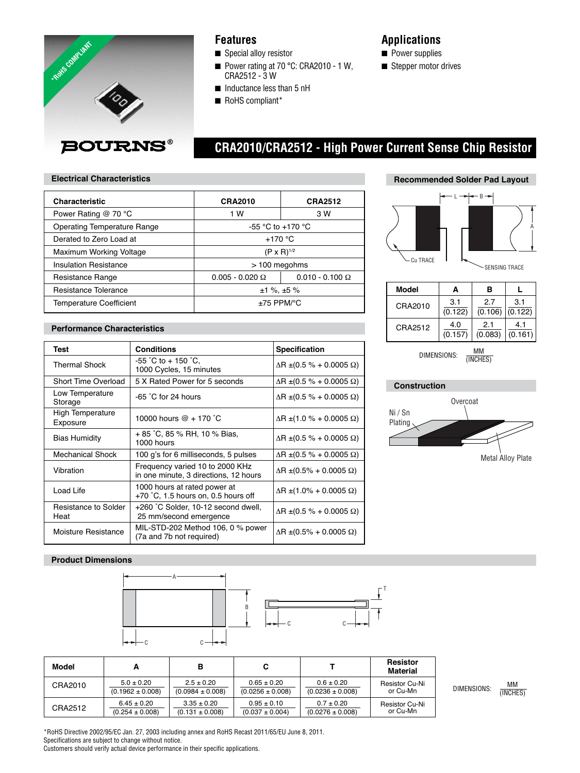

### **Features**

- Special alloy resistor
- Power rating at 70 °C: CRA2010 1 W, CRA2512 - 3 W
- Inductance less than 5 nH
- RoHS compliant\*

## **Applications**

- Power supplies
- Stepper motor drives

# **BOURNS®**

# **CRA2010/CRA2512 - High Power Current Sense Chip Resistor**

### **Electrical Characteristics**

| <b>Characteristic</b>              | <b>CRA2010</b>          | <b>CRA2512</b>         |
|------------------------------------|-------------------------|------------------------|
| Power Rating @ 70 °C               | 1 W<br>3 W              |                        |
| <b>Operating Temperature Range</b> | -55 °C to +170 °C       |                        |
| Derated to Zero Load at            | $+170$ °C               |                        |
| Maximum Working Voltage            | $(P \times R)^{1/2}$    |                        |
| <b>Insulation Resistance</b>       | $>$ 100 megohms         |                        |
| Resistance Range                   | $0.005 - 0.020 \Omega$  | $0.010 - 0.100 \Omega$ |
| Resistance Tolerance               | $±1\%$ , $±5\%$         |                        |
| <b>Temperature Coefficient</b>     | $±75$ PPM/ $^{\circ}$ C |                        |

### **Performance Characteristics**

| Test                         | <b>Conditions</b>                                                        | <b>Specification</b>                   |
|------------------------------|--------------------------------------------------------------------------|----------------------------------------|
| Thermal Shock                | $-55$ °C to + 150 °C.<br>1000 Cycles, 15 minutes                         | $\Delta$ R ±(0.5 % + 0.0005 $\Omega$ ) |
| <b>Short Time Overload</b>   | 5 X Rated Power for 5 seconds                                            | $\Delta$ R ±(0.5 % + 0.0005 $\Omega$ ) |
| Low Temperature<br>Storage   | $-65$ °C for 24 hours                                                    | $\Delta$ R ±(0.5 % + 0.0005 $\Omega$ ) |
| High Temperature<br>Exposure | 10000 hours $@ + 170 °C$                                                 | $\Delta$ R ±(1.0 % + 0.0005 $\Omega$ ) |
| <b>Bias Humidity</b>         | + 85 °C, 85 % RH, 10 % Bias,<br>1000 hours                               | $\Delta$ R ±(0.5 % + 0.0005 $\Omega$ ) |
| <b>Mechanical Shock</b>      | 100 g's for 6 milliseconds, 5 pulses                                     | $\Delta$ R ±(0.5 % + 0.0005 $\Omega$ ) |
| Vibration                    | Frequency varied 10 to 2000 KHz<br>in one minute, 3 directions, 12 hours | $\Delta$ R ±(0.5% + 0.0005 $\Omega$ )  |
| Load Life                    | 1000 hours at rated power at<br>$+70$ °C, 1.5 hours on, 0.5 hours off    | $\Delta$ R ±(1.0% + 0.0005 $\Omega$ )  |
| Resistance to Solder<br>Heat | +260 °C Solder, 10-12 second dwell,<br>25 mm/second emergence            | $\Delta$ R ±(0.5 % + 0.0005 $\Omega$ ) |
| Moisture Resistance          | MIL-STD-202 Method 106, 0 $%$ power<br>(7a and 7b not required)          | $\Delta$ R ±(0.5% + 0.0005 $\Omega$ )  |

# **Recommended Solder Pad Layout**



| Model   | А       | в       |         |
|---------|---------|---------|---------|
| CRA2010 | 3.1     | 2.7     | 3.1     |
|         | (0.122) | (0.106) | (0.122) |
| CRA2512 | 4.0     | 2.1     | 4.1     |
|         | (0.157) | (0.083) | (0.161) |

DIMENSIONS:  $\frac{MM}{MNCHE}$ (INCHES)

### **Construction**

T

C C





### **Product Dimensions**



| Model   |                      | в                    |                      |                      | <b>Resistor</b><br>Material |
|---------|----------------------|----------------------|----------------------|----------------------|-----------------------------|
| CRA2010 | $5.0 \pm 0.20$       | $2.5 \pm 0.20$       | $0.65 \pm 0.20$      | $0.6 \pm 0.20$       | Resistor Cu-Ni              |
|         | $(0.1962 \pm 0.008)$ | $(0.0984 \pm 0.008)$ | $(0.0256 \pm 0.008)$ | $(0.0236 \pm 0.008)$ | or Cu-Mn                    |
| CRA2512 | $6.45 \pm 0.20$      | $3.35 \pm 0.20$      | $0.95 \pm 0.10$      | $0.7 \pm 0.20$       | <b>Resistor Cu-Ni</b>       |
|         | $(0.254 \pm 0.008)$  | $(0.131 \pm 0.008)$  | $(0.037 \pm 0.004)$  | $(0.0276 \pm 0.008)$ | or Cu-Mn                    |

DIMENSIONS:  $\frac{MM}{MNQUE}$ (INCHES)

\*RoHS Directive 2002/95/EC Jan. 27, 2003 including annex and RoHS Recast 2011/65/EU June 8, 2011. Specifications are subject to change without notice. Customers should verify actual device performance in their specific applications.